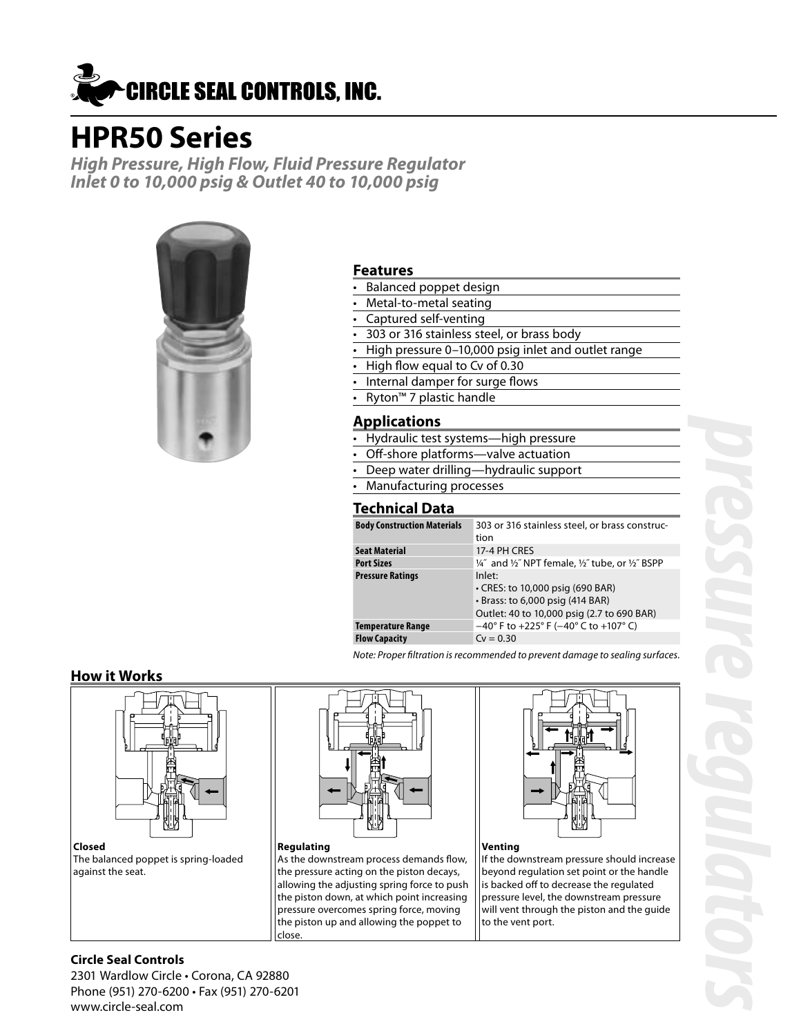

# **HPR50 Series**

**High Pressure, High Flow, Fluid Pressure Regulator Inlet 0 to 10,000 psig & Outlet 40 to 10,000 psig**



#### **Features**

- Balanced poppet design
- Metal-to-metal seating
- Captured self-venting
- 303 or 316 stainless steel, or brass body
- High pressure 0-10,000 psig inlet and outlet range
- High flow equal to Cv of 0.30
- Internal damper for surge flows
- Ryton™ 7 plastic handle

#### **Applications**

- Hydraulic test systems—high pressure
- Off-shore platforms-valve actuation
- Deep water drilling—hydraulic support
- Manufacturing processes

#### **Technical Data**

| <b>Body Construction Materials</b> | 303 or 316 stainless steel, or brass construc-<br>tion                                                                             |
|------------------------------------|------------------------------------------------------------------------------------------------------------------------------------|
| Seat Material                      | 17-4 PH CRES                                                                                                                       |
| Port Sizes                         | 1/4" and 1/2" NPT female, 1/2" tube, or 1/2" BSPP                                                                                  |
| Pressure Ratings                   | Inlet:<br>• CRES: to 10,000 psig (690 BAR)<br>$\cdot$ Brass: to 6,000 psig (414 BAR)<br>Outlet: 40 to 10,000 psig (2.7 to 690 BAR) |
| Temperature Range                  | $-40^{\circ}$ F to +225° F ( $-40^{\circ}$ C to +107° C)                                                                           |
| <b>Flow Capacity</b>               | $Cv = 0.30$                                                                                                                        |
|                                    |                                                                                                                                    |

Note: Proper filtration is recommended to prevent damage to sealing surfaces.

#### **How it Works**



**Closed** The balanced poppet is spring-loaded against the seat.



#### **Regulating** As the downstream process demands flow, the pressure acting on the piston decays, allowing the adjusting spring force to push the piston down, at which point increasing pressure overcomes spring force, moving the piston up and allowing the poppet to close.



#### **Venting**

If the downstream pressure should increase beyond regulation set point or the handle is backed off to decrease the regulated pressure level, the downstream pressure will vent through the piston and the guide to the vent port.

#### **Circle Seal Controls**

2301 Wardlow Circle • Corona, CA 92880 Phone (951) 270-6200 • Fax (951) 270-6201 www.circle-seal.com